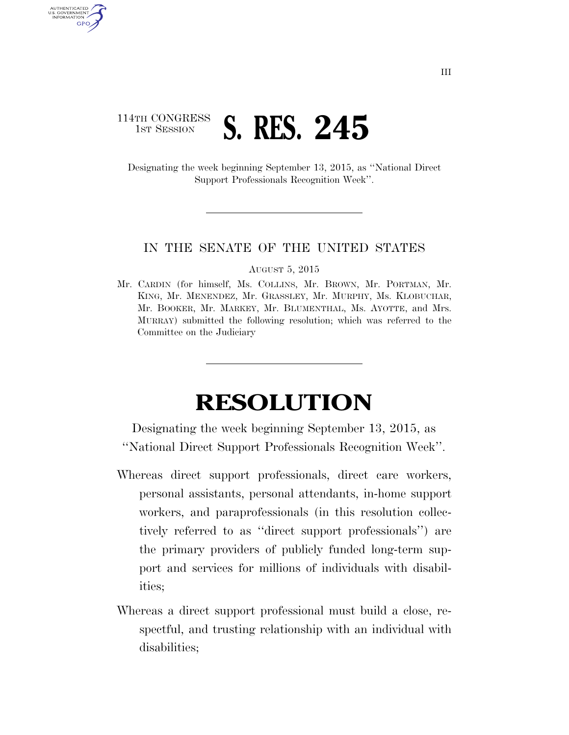## 114TH CONGRESS **1ST SESSION S. RES. 245**

AUTHENTICATED U.S. GOVERNMENT GPO

> Designating the week beginning September 13, 2015, as ''National Direct Support Professionals Recognition Week''.

## IN THE SENATE OF THE UNITED STATES

AUGUST 5, 2015

Mr. CARDIN (for himself, Ms. COLLINS, Mr. BROWN, Mr. PORTMAN, Mr. KING, Mr. MENENDEZ, Mr. GRASSLEY, Mr. MURPHY, Ms. KLOBUCHAR, Mr. BOOKER, Mr. MARKEY, Mr. BLUMENTHAL, Ms. AYOTTE, and Mrs. MURRAY) submitted the following resolution; which was referred to the Committee on the Judiciary

## **RESOLUTION**

Designating the week beginning September 13, 2015, as ''National Direct Support Professionals Recognition Week''.

- Whereas direct support professionals, direct care workers, personal assistants, personal attendants, in-home support workers, and paraprofessionals (in this resolution collectively referred to as ''direct support professionals'') are the primary providers of publicly funded long-term support and services for millions of individuals with disabilities;
- Whereas a direct support professional must build a close, respectful, and trusting relationship with an individual with disabilities;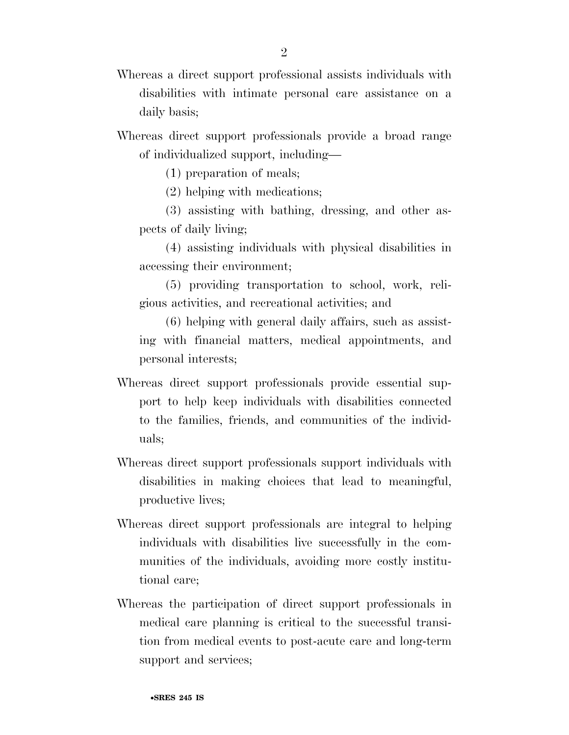- Whereas a direct support professional assists individuals with disabilities with intimate personal care assistance on a daily basis;
- Whereas direct support professionals provide a broad range of individualized support, including—
	- (1) preparation of meals;
	- (2) helping with medications;
	- (3) assisting with bathing, dressing, and other aspects of daily living;
	- (4) assisting individuals with physical disabilities in accessing their environment;
	- (5) providing transportation to school, work, religious activities, and recreational activities; and

(6) helping with general daily affairs, such as assisting with financial matters, medical appointments, and personal interests;

- Whereas direct support professionals provide essential support to help keep individuals with disabilities connected to the families, friends, and communities of the individuals;
- Whereas direct support professionals support individuals with disabilities in making choices that lead to meaningful, productive lives;
- Whereas direct support professionals are integral to helping individuals with disabilities live successfully in the communities of the individuals, avoiding more costly institutional care;
- Whereas the participation of direct support professionals in medical care planning is critical to the successful transition from medical events to post-acute care and long-term support and services;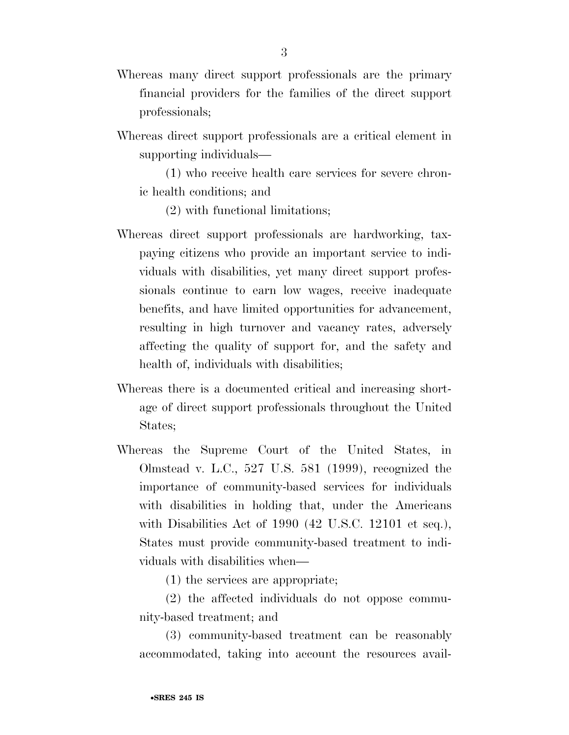- Whereas many direct support professionals are the primary financial providers for the families of the direct support professionals;
- Whereas direct support professionals are a critical element in supporting individuals—

(1) who receive health care services for severe chronic health conditions; and

(2) with functional limitations;

- Whereas direct support professionals are hardworking, taxpaying citizens who provide an important service to individuals with disabilities, yet many direct support professionals continue to earn low wages, receive inadequate benefits, and have limited opportunities for advancement, resulting in high turnover and vacancy rates, adversely affecting the quality of support for, and the safety and health of, individuals with disabilities;
- Whereas there is a documented critical and increasing shortage of direct support professionals throughout the United States;
- Whereas the Supreme Court of the United States, in Olmstead v. L.C., 527 U.S. 581 (1999), recognized the importance of community-based services for individuals with disabilities in holding that, under the Americans with Disabilities Act of 1990 (42 U.S.C. 12101 et seq.), States must provide community-based treatment to individuals with disabilities when—

(1) the services are appropriate;

(2) the affected individuals do not oppose community-based treatment; and

(3) community-based treatment can be reasonably accommodated, taking into account the resources avail